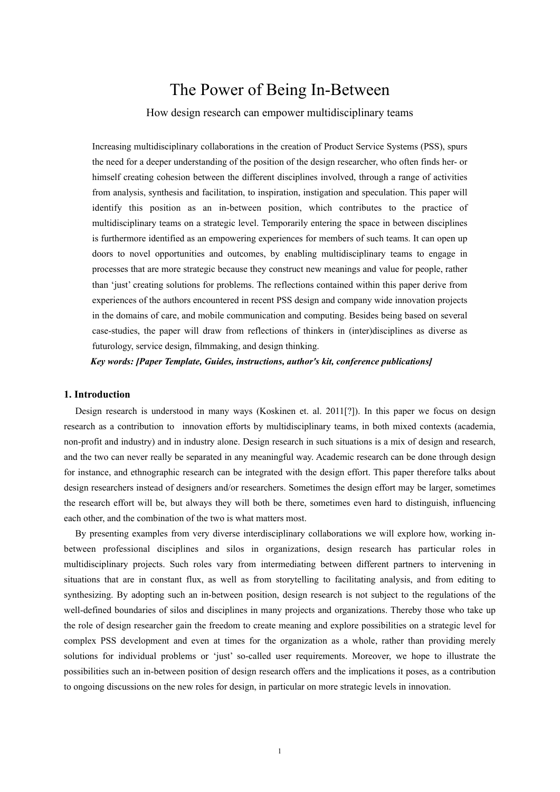# The Power of Being In-Between

## How design research can empower multidisciplinary teams

Increasing multidisciplinary collaborations in the creation of Product Service Systems (PSS), spurs the need for a deeper understanding of the position of the design researcher, who often finds her- or himself creating cohesion between the different disciplines involved, through a range of activities from analysis, synthesis and facilitation, to inspiration, instigation and speculation. This paper will identify this position as an in-between position, which contributes to the practice of multidisciplinary teams on a strategic level. Temporarily entering the space in between disciplines is furthermore identified as an empowering experiences for members of such teams. It can open up doors to novel opportunities and outcomes, by enabling multidisciplinary teams to engage in processes that are more strategic because they construct new meanings and value for people, rather than 'just' creating solutions for problems. The reflections contained within this paper derive from experiences of the authors encountered in recent PSS design and company wide innovation projects in the domains of care, and mobile communication and computing. Besides being based on several case-studies, the paper will draw from reflections of thinkers in (inter)disciplines as diverse as futurology, service design, filmmaking, and design thinking.

*Key words: [Paper Template, Guides, instructions, author's kit, conference publications]* 

## **1. Introduction**

Design research is understood in many ways (Koskinen et. al. 2011[?]). In this paper we focus on design research as a contribution to innovation efforts by multidisciplinary teams, in both mixed contexts (academia, non-profit and industry) and in industry alone. Design research in such situations is a mix of design and research, and the two can never really be separated in any meaningful way. Academic research can be done through design for instance, and ethnographic research can be integrated with the design effort. This paper therefore talks about design researchers instead of designers and/or researchers. Sometimes the design effort may be larger, sometimes the research effort will be, but always they will both be there, sometimes even hard to distinguish, influencing each other, and the combination of the two is what matters most.

By presenting examples from very diverse interdisciplinary collaborations we will explore how, working inbetween professional disciplines and silos in organizations, design research has particular roles in multidisciplinary projects. Such roles vary from intermediating between different partners to intervening in situations that are in constant flux, as well as from storytelling to facilitating analysis, and from editing to synthesizing. By adopting such an in-between position, design research is not subject to the regulations of the well-defined boundaries of silos and disciplines in many projects and organizations. Thereby those who take up the role of design researcher gain the freedom to create meaning and explore possibilities on a strategic level for complex PSS development and even at times for the organization as a whole, rather than providing merely solutions for individual problems or 'just' so-called user requirements. Moreover, we hope to illustrate the possibilities such an in-between position of design research offers and the implications it poses, as a contribution to ongoing discussions on the new roles for design, in particular on more strategic levels in innovation.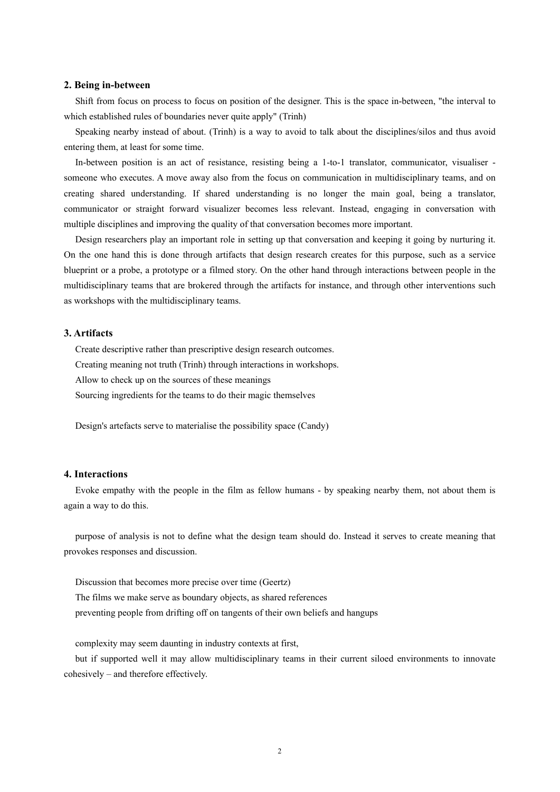#### **2. Being in-between**

Shift from focus on process to focus on position of the designer. This is the space in-between, "the interval to which established rules of boundaries never quite apply" (Trinh)

Speaking nearby instead of about. (Trinh) is a way to avoid to talk about the disciplines/silos and thus avoid entering them, at least for some time.

In-between position is an act of resistance, resisting being a 1-to-1 translator, communicator, visualiser someone who executes. A move away also from the focus on communication in multidisciplinary teams, and on creating shared understanding. If shared understanding is no longer the main goal, being a translator, communicator or straight forward visualizer becomes less relevant. Instead, engaging in conversation with multiple disciplines and improving the quality of that conversation becomes more important.

Design researchers play an important role in setting up that conversation and keeping it going by nurturing it. On the one hand this is done through artifacts that design research creates for this purpose, such as a service blueprint or a probe, a prototype or a filmed story. On the other hand through interactions between people in the multidisciplinary teams that are brokered through the artifacts for instance, and through other interventions such as workshops with the multidisciplinary teams.

### **3. Artifacts**

Create descriptive rather than prescriptive design research outcomes. Creating meaning not truth (Trinh) through interactions in workshops. Allow to check up on the sources of these meanings

Sourcing ingredients for the teams to do their magic themselves

Design's artefacts serve to materialise the possibility space (Candy)

## **4. Interactions**

Evoke empathy with the people in the film as fellow humans - by speaking nearby them, not about them is again a way to do this.

purpose of analysis is not to define what the design team should do. Instead it serves to create meaning that provokes responses and discussion.

Discussion that becomes more precise over time (Geertz)

The films we make serve as boundary objects, as shared references

preventing people from drifting off on tangents of their own beliefs and hangups

complexity may seem daunting in industry contexts at first,

but if supported well it may allow multidisciplinary teams in their current siloed environments to innovate cohesively – and therefore effectively.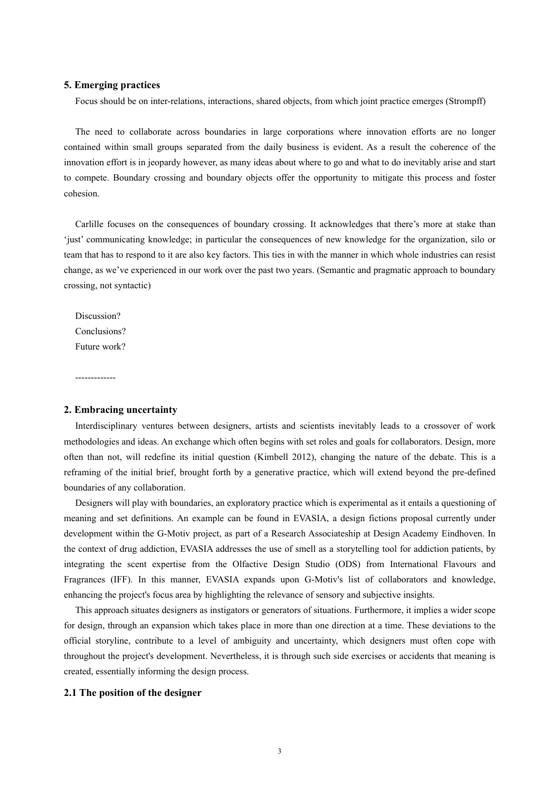## **5. Emerging practices**

Focus should be on inter-relations, interactions, shared objects, from which joint practice emerges (Strompff)

The need to collaborate across boundaries in large corporations where innovation efforts are no longer contained within small groups separated from the daily business is evident. As a result the coherence of the innovation effort is in jeopardy however, as many ideas about where to go and what to do inevitably arise and start to compete. Boundary crossing and boundary objects offer the opportunity to mitigate this process and foster cohesion.

Carlille focuses on the consequences of boundary crossing. It acknowledges that there's more at stake than 'just' communicating knowledge; in particular the consequences of new knowledge for the organization, silo or team that has to respond to it are also key factors. This ties in with the manner in which whole industries can resist change, as we've experienced in our work over the past two years. (Semantic and pragmatic approach to boundary crossing, not syntactic)

Discussion? Conclusions? Future work?

-------------

## **2. Embracing uncertainty**

Interdisciplinary ventures between designers, artists and scientists inevitably leads to a crossover of work methodologies and ideas. An exchange which often begins with set roles and goals for collaborators. Design, more often than not, will redefine its initial question (Kimbell 2012), changing the nature of the debate. This is a reframing of the initial brief, brought forth by a generative practice, which will extend beyond the pre-defined boundaries of any collaboration.

Designers will play with boundaries, an exploratory practice which is experimental as it entails a questioning of meaning and set definitions. An example can be found in EVASIA, a design fictions proposal currently under development within the G-Motiv project, as part of a Research Associateship at Design Academy Eindhoven. In the context of drug addiction, EVASIA addresses the use of smell as a storytelling tool for addiction patients, by integrating the scent expertise from the Olfactive Design Studio (ODS) from International Flavours and Fragrances (IFF). In this manner, EVASIA expands upon G-Motiv's list of collaborators and knowledge, enhancing the project's focus area by highlighting the relevance of sensory and subjective insights.

This approach situates designers as instigators or generators of situations. Furthermore, it implies a wider scope for design, through an expansion which takes place in more than one direction at a time. These deviations to the official storyline, contribute to a level of ambiguity and uncertainty, which designers must often cope with throughout the project's development. Nevertheless, it is through such side exercises or accidents that meaning is created, essentially informing the design process.

#### **2.1 The position of the designer**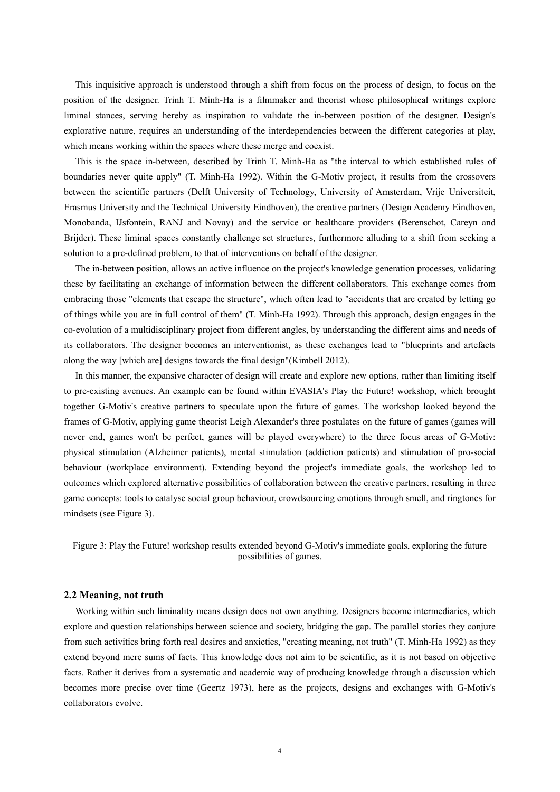This inquisitive approach is understood through a shift from focus on the process of design, to focus on the position of the designer. Trinh T. Minh-Ha is a filmmaker and theorist whose philosophical writings explore liminal stances, serving hereby as inspiration to validate the in-between position of the designer. Design's explorative nature, requires an understanding of the interdependencies between the different categories at play, which means working within the spaces where these merge and coexist.

This is the space in-between, described by Trinh T. Minh-Ha as "the interval to which established rules of boundaries never quite apply" (T. Minh-Ha 1992). Within the G-Motiv project, it results from the crossovers between the scientific partners (Delft University of Technology, University of Amsterdam, Vrije Universiteit, Erasmus University and the Technical University Eindhoven), the creative partners (Design Academy Eindhoven, Monobanda, IJsfontein, RANJ and Novay) and the service or healthcare providers (Berenschot, Careyn and Brijder). These liminal spaces constantly challenge set structures, furthermore alluding to a shift from seeking a solution to a pre-defined problem, to that of interventions on behalf of the designer.

The in-between position, allows an active influence on the project's knowledge generation processes, validating these by facilitating an exchange of information between the different collaborators. This exchange comes from embracing those "elements that escape the structure", which often lead to "accidents that are created by letting go of things while you are in full control of them" (T. Minh-Ha 1992). Through this approach, design engages in the co-evolution of a multidisciplinary project from different angles, by understanding the different aims and needs of its collaborators. The designer becomes an interventionist, as these exchanges lead to "blueprints and artefacts along the way [which are] designs towards the final design"(Kimbell 2012).

In this manner, the expansive character of design will create and explore new options, rather than limiting itself to pre-existing avenues. An example can be found within EVASIA's Play the Future! workshop, which brought together G-Motiv's creative partners to speculate upon the future of games. The workshop looked beyond the frames of G-Motiv, applying game theorist Leigh Alexander's three postulates on the future of games (games will never end, games won't be perfect, games will be played everywhere) to the three focus areas of G-Motiv: physical stimulation (Alzheimer patients), mental stimulation (addiction patients) and stimulation of pro-social behaviour (workplace environment). Extending beyond the project's immediate goals, the workshop led to outcomes which explored alternative possibilities of collaboration between the creative partners, resulting in three game concepts: tools to catalyse social group behaviour, crowdsourcing emotions through smell, and ringtones for mindsets (see Figure 3).

Figure 3: Play the Future! workshop results extended beyond G-Motiv's immediate goals, exploring the future possibilities of games.

#### **2.2 Meaning, not truth**

Working within such liminality means design does not own anything. Designers become intermediaries, which explore and question relationships between science and society, bridging the gap. The parallel stories they conjure from such activities bring forth real desires and anxieties, "creating meaning, not truth" (T. Minh-Ha 1992) as they extend beyond mere sums of facts. This knowledge does not aim to be scientific, as it is not based on objective facts. Rather it derives from a systematic and academic way of producing knowledge through a discussion which becomes more precise over time (Geertz 1973), here as the projects, designs and exchanges with G-Motiv's collaborators evolve.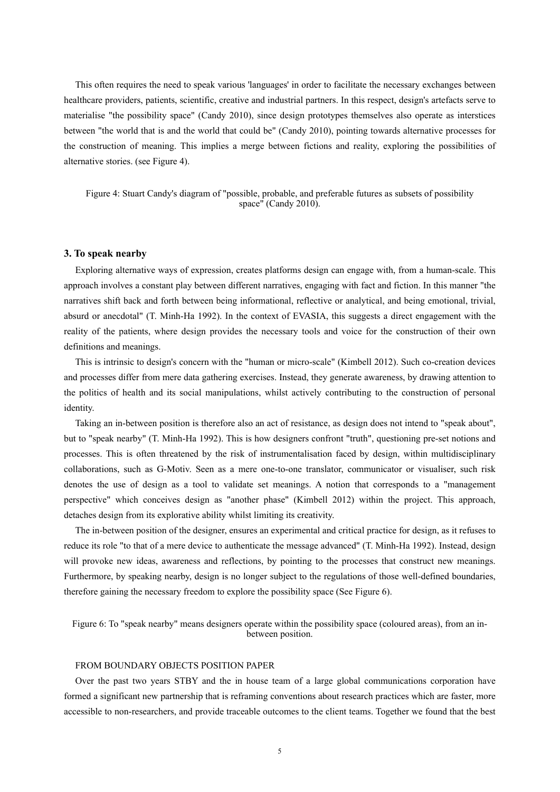This often requires the need to speak various 'languages' in order to facilitate the necessary exchanges between healthcare providers, patients, scientific, creative and industrial partners. In this respect, design's artefacts serve to materialise "the possibility space" (Candy 2010), since design prototypes themselves also operate as interstices between "the world that is and the world that could be" (Candy 2010), pointing towards alternative processes for the construction of meaning. This implies a merge between fictions and reality, exploring the possibilities of alternative stories. (see Figure 4).

Figure 4: Stuart Candy's diagram of "possible, probable, and preferable futures as subsets of possibility space" (Candy 2010).

## **3. To speak nearby**

Exploring alternative ways of expression, creates platforms design can engage with, from a human-scale. This approach involves a constant play between different narratives, engaging with fact and fiction. In this manner "the narratives shift back and forth between being informational, reflective or analytical, and being emotional, trivial, absurd or anecdotal" (T. Minh-Ha 1992). In the context of EVASIA, this suggests a direct engagement with the reality of the patients, where design provides the necessary tools and voice for the construction of their own definitions and meanings.

This is intrinsic to design's concern with the "human or micro-scale" (Kimbell 2012). Such co-creation devices and processes differ from mere data gathering exercises. Instead, they generate awareness, by drawing attention to the politics of health and its social manipulations, whilst actively contributing to the construction of personal identity.

Taking an in-between position is therefore also an act of resistance, as design does not intend to "speak about", but to "speak nearby" (T. Minh-Ha 1992). This is how designers confront "truth", questioning pre-set notions and processes. This is often threatened by the risk of instrumentalisation faced by design, within multidisciplinary collaborations, such as G-Motiv. Seen as a mere one-to-one translator, communicator or visualiser, such risk denotes the use of design as a tool to validate set meanings. A notion that corresponds to a "management perspective" which conceives design as "another phase" (Kimbell 2012) within the project. This approach, detaches design from its explorative ability whilst limiting its creativity.

The in-between position of the designer, ensures an experimental and critical practice for design, as it refuses to reduce its role "to that of a mere device to authenticate the message advanced" (T. Minh-Ha 1992). Instead, design will provoke new ideas, awareness and reflections, by pointing to the processes that construct new meanings. Furthermore, by speaking nearby, design is no longer subject to the regulations of those well-defined boundaries, therefore gaining the necessary freedom to explore the possibility space (See Figure 6).

Figure 6: To "speak nearby" means designers operate within the possibility space (coloured areas), from an inbetween position.

### FROM BOUNDARY OBJECTS POSITION PAPER

Over the past two years STBY and the in house team of a large global communications corporation have formed a significant new partnership that is reframing conventions about research practices which are faster, more accessible to non-researchers, and provide traceable outcomes to the client teams. Together we found that the best